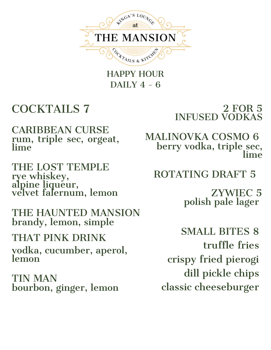

HAPPY HOUR DAILY  $4 - 6$ 

## COCKTAILS 7

rum, triple sec, orgeat, lime CARIBBEAN CURSE

rye whiskey, alpine liqueur, velvet falernum, lemon THE LOST TEMPLE

THE HAUNTED MANSION brandy, lemon, simple

vodka, cucumber, aperol, lemon THAT PINK DRINK

bourbon, ginger, lemon TIN MAN

### 2 FOR 5 INFUSED VODKAS

berry vodka, triple\_sec, lime MALINOVKA COSMO 6

ROTATING DRAFT 5

polish pale lager ZYWIEC 5

SMALL BITES 8 truffle fries crispy fried pierogi dill pickle chips classic cheeseburger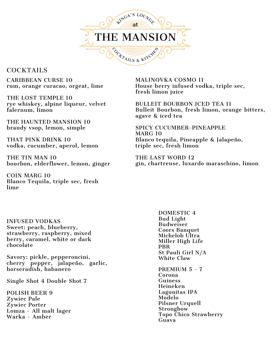

#### **COCKTAILS**

CARIBBEAN CURSE 10 rum, orange curacao, orgeat, lime

THE LOST TEMPLE 10 rye whiskey, alpine liqueur, velvet falernum, limon

THE HAUNTED MANSION 10 brandy vsop, lemon, simple

THAT PINK DRINK 10 vodka, cucumber, aperol, lemon

THE TIN MAN 10 bourbon, elderflower, lemon, ginger

COIN MARG 10 Blanco Tequila, triple sec, fresh lime

MALINOVKA COSMO 11 House berry infused vodka, triple sec, fresh limon juice

BULLEIT BOURBON ICED TEA 11 Bulleit Bourbon, fresh limon, orange bitters, agave & iced tea

SPICY CUCUMBER-PINEAPPLE MARG 10 Blanco tequila, Pineapple & Jalapeño, triple sec, fresh limon

THE LAST WORD 12 gin, chartreuse, luxardo maraschino, limon

INFUSED VODKAS Sweet: peach, blueberry, strawberry, raspberry, mixed berry, caramel, white or dark chocolate

Savory: pickle, pepperoncini, cherry pepper, jalapeño, garlic, horseradish, habanero

Single Shot 4 Double Shot 7

POLISH BEER 9 Zywiec Pale Zywiec Porter Lomza - All malt lager Warka - Amber

DOMESTIC 4 Bud Light Budweiser Coors Banquet Michelob Ultra Miller High Life PBR St Pauli Girl N/A White Claw

PREMIUM 5 - 7 Corona Guiness Heineken Lagunitas IPA Modelo Pilsner Urquell **Strongbow** Topo Chico Strawberry Guava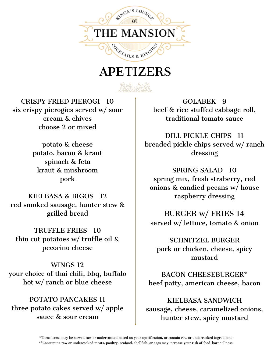

## APETIZERS

CRISPY FRIED PIEROGI 10 six crispy pierogies served w/ sour cream & chives choose 2 or mixed

> potato & cheese potato, bacon & kraut spinach & feta kraut & mushroom pork

KIELBASA & BIGOS 12 red smoked sausage, hunter stew & grilled bread

TRUFFLE FRIES 10 thin cut potatoes w/ truffle oil & pecorino cheese

WINGS 12 your choice of thai chili, bbq, buffalo hot w/ ranch or blue cheese

POTATO PANCAKES 11 three potato cakes served w/ apple sauce & sour cream

GOLABEK 9 beef & rice stuffed cabbage roll, traditional tomato sauce

DILL PICKLE CHIPS 11 breaded pickle chips served w/ ranch dressing

SPRING SALAD 10 spring mix, fresh straberry, red onions & candied pecans w/ house raspberry dressing

BURGER w/ FRIES 14 served w/ lettuce, tomato & onion

SCHNITZEL BURGER pork or chicken, cheese, spicy mustard

BACON CHEESEBURGER\* beef patty, american cheese, bacon

KIELBASA SANDWICH sausage, cheese, caramelized onions, hunter stew, spicy mustard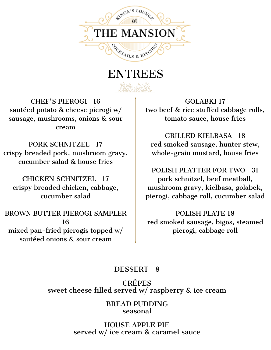

## ENTREES

No the

CHEF'S PIEROGI 16 sautéed potato & cheese pierogi w/ sausage, mushrooms, onions & sour cream

PORK SCHNITZEL 17 crispy breaded pork, mushroom gravy, cucumber salad & house fries

CHICKEN SCHNITZEL 17 crispy breaded chicken, cabbage, cucumber salad

BROWN BUTTER PIEROGI SAMPLER 16 mixed pan-fried pierogis topped w/ sautéed onions & sour cream

GOLABKI 17 two beef & rice stuffed cabbage rolls, tomato sauce, house fries

GRILLED KIELBASA 18 red smoked sausage, hunter stew, whole-grain mustard, house fries

POLISH PLATTER FOR TWO 31 pork schnitzel, beef meatball, mushroom gravy, kielbasa, golabek, pierogi, cabbage roll, cucumber salad

POLISH PLATE 18 red smoked sausage, bigos, steamed pierogi, cabbage roll

#### DESSERT 8

CRÊPES sweet cheese filled served w/ raspberry & ice cream

> BREAD PUDDING seasonal

HOUSE APPLE PIE served w/ ice cream & caramel sauce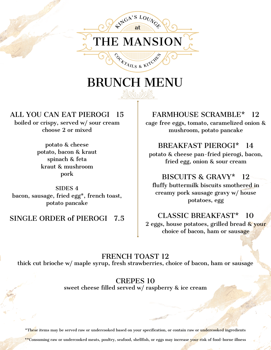

# BRUNCH MENU

#### ALL YOU CAN EAT PIEROGI 15

boiled or crispy, served w/ sour cream choose 2 or mixed

> potato & cheese potato, bacon & kraut spinach & feta kraut & mushroom pork

SIDES 4 bacon, sausage, fried egg\*, french toast, potato pancake

#### SINGLE ORDER of PIEROGI 7.5

#### FARMHOUSE SCRAMBLE\* 12

cage free eggs, tomato, caramelized onion & mushroom, potato pancake

#### BREAKFAST PIEROGI\* 14

potato & cheese pan-fried pierogi, bacon, fried egg, onion & sour cream

#### BISCUITS & GRAVY\* 12

fluffy buttermilk biscuits smothered in creamy pork sausage gravy w/ house potatoes, egg

#### CLASSIC BREAKFAST\* 10

2 eggs, house potatoes, grilled bread & your choice of bacon, ham or sausage

FRENCH TOAST 12 thick cut brioche w/ maple syrup, fresh strawberries, choice of bacon, ham or sausage

> CREPES 10 sweet cheese filled served w/ raspberry & ice cream

\*These items may be served raw or undercooked based on your specification, or contain raw or undercooked ingredients

\*\*Consuming raw or undercooked meats, poultry, seafood, shellfish, or eggs may increase your risk of food-borne illness